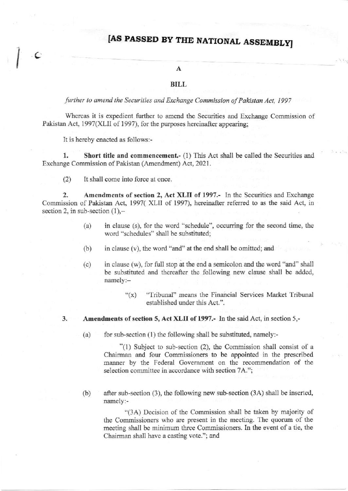## IAS PASSED BY THE NATIONAL ASSEMBLYJ

## $\mathbf{A}$

## BILL

further to amend the Securities and Exchange Commission of Pakistan Act, 1997

Whereas it is expedient further to amend the Securities and Exchange Commission of Pakistan Act, 1997(XLII of 1997), for the purposes hereinafter appearing;

It is hereby enacted as follows:-

C

1. Short title and commencement.- (1) This Act shall be called the Securities and Exchange Commission of Pakistan (Amendment) Act, 2021.

(2) It shall come into force at once.

2. Amendments of section 2, Act XLII of 1997.- In the Securities and Exchange Commission of Pakistan Act, 1997( XLII of 1997), hereinafter referred to as the said Act, in section 2, in sub-section  $(1)$ ,-

- $(a)$  in clause  $(s)$ , for the word "schedule", occurring for the second time, the word "schedules" shall be substituted;
- (b) in clause (v), the word "and" at the end shall be omitted; and
- (c) in clause (w), for full stop at the end a semicolon and the word "and" shall be substituted and thereafter the following new clause shall be added, namely:-
	- "(x) "Tribunal" means the Financial Services Market Tribunal established under this Act.".

3. Amendments of section 5, Act XLII of 1997.- In the said Act, in section 5,-

(a) for sub-section  $(1)$  the following shall be substituted, namely:-

"(l) Subject to sub-section (2), the Commission shall consist of <sup>a</sup> Chairman and four Commissioners to be appointed in the prescribed manner by the Federal Government on the recommendation of the selection committee in accordance with section 7A.":

(b) after sub-section  $(3)$ , the following new sub-section  $(3A)$  shall be inserted, namely:-

"(3A) Decision of the Commission shall be taken by majority of the Commissioners who are present in the meeting. The quorum of the meeting shall be minimum three Commissioners. In the event of a tie, the Chairman shall have a casting vote."; and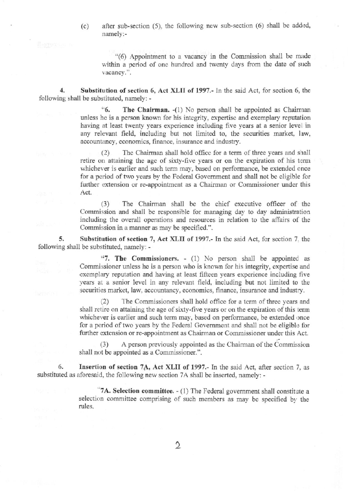after sub-section (5), the following new sub-section (6) shall be added,  $(c)$ namely:-

"(6) Appointment to a vacancy in the Commission shall be made within a period of one hundred and twenty days from the date of such vacancy.".

Substitution of section 6, Act XLII of 1997.- In the said Act, for section 6, the following shall be substituted, namely: -

> <sup>66</sup>. The Chairman. -(1) No person shall be appointed as Chairman unless he is a person known for his integrity, expertise and exemplary reputation having at least twenty years experience including five years at a senior level in any relevant field, including but not limited to, the securities market, law, accountancy, economics, finance, insurance and industry.

> The Chairman shall hold office for a term of three years and shall  $(2)$ retire on attaining the age of sixty-five years or on the expiration of his term whichever is earlier and such term may, based on performance, be extended once for a period of two years by the Federal Government and shall not be eligible for further extension or re-appointment as a Chairman or Commissioner under this Act.

> The Chairman shall be the chief executive officer of the  $(3)$ Commission and shall be responsible for managing day to day administration including the overall operations and resources in relation to the affairs of the Commission in a manner as may be specified.".

5. Substitution of section 7, Act XLII of 1997.- In the said Act, for section 7, the following shall be substituted, namely: -

> "7. The Commissioners.  $-$  (1) No person shall be appointed as Commissioner unless he is a person who is known for his integrity, expertise and exemplary reputation and having at least fifteen years experience including five years at a senior level in any relevant field, including but not limited to the securities market, law, accountancy, economics, finance, insurance and industry.

> The Commissioners shall hold office for a term of three years and  $(2)$ shall retire on attaining the age of sixty-five years or on the expiration of this term whichever is earlier and such term may, based on performance, be extended once for a period of two years by the Federal Government and shall not be eligible for further extension or re-appointment as Chairman or Commissioner under this Act.

> A person previously appointed as the Chairman of the Commission  $(3)$ shall not be appointed as a Commissioner.".

Insertion of section 7A, Act XLII of 1997.- In the said Act, after section 7, as 6. substituted as aforesaid, the following new section 7A shall be inserted, namely: -

> "7A. Selection committee. - (1) The Federal government shall constitute a selection committee comprising of such members as may be specified by the rules.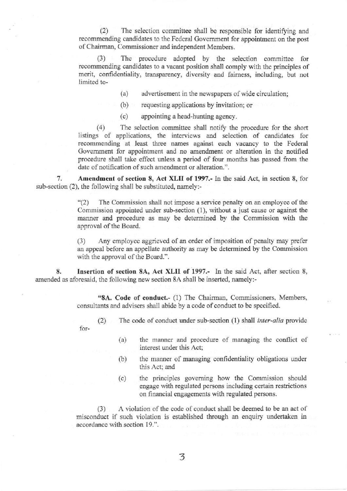(2) The selection committee shall be responsible for identifying and recommending candidates to the Federal Government for appointment on the post of Chairman, Commissioner and independent Members.

(3) The procedure adopted by the selection committee for recommending candidates to a vacant position shall comply with the principles of merit, confidentiality, transparency, diversity and fairness, including, but not limited to-

 $(a)$  advertisement in the newspapers of wide circulation;

(b) requesting applications by invitation; or

(c) appointing a head-hunting agency.

 $(4)$  The selection committee shall notify the procedure for the short listings of applications, the interviews and selection of candidates for recommending at least three names against each vacancy to the Federal Government for appointment and no amendment or alteration in the notified procedure shall take effect ualess a period of four months has passed from the date of notification of such amendment or alteration.".

7. Amendment of section 8, Act XLII of 1997.- In the said Act, in section 8, for sub-section (2), the following shall be substituted, namely:-

> "(2) The Commission shall not impose a service penalty on an employee of the Commission appointed under sub-section (l), without a just cause or against the manner and procedure as may be determined by the Commission with the approval of the Board.

> (3) Any employee aggrieved of an order of imposition of penalty may prefer an appeal before an appellate authority as may be determined by the Commission with the approval of the Board.".

8. Insertion of section 8A, Act XLII of 1997.- In the said Act, after section 8, amended as aforesaid, the following new section 8A shall be inserted, namely:-

> "8A. Code of conduct.- (1) The Chairman, Commissioners, Members, consultants and advisers shall abide by a code of conduct to be specified.

(2) The code of conduct under sub-section  $(1)$  shall *inter-alia* provide for-

- (a) the manner and procedure of managing the conflict of interest under this Act;
- (b) the marmer of managing confidentiality obligations wder this Act; and
- (c) the principles goveming how the Commissiod should engage with regulated persons including certain restrictions on financial engagements with regulated persons.

(3) <sup>A</sup>violation of the code of conduct shall be deemed to be an act of misconduct if such violation is established through an enquiry underlaken in accordance with section 19.".

3